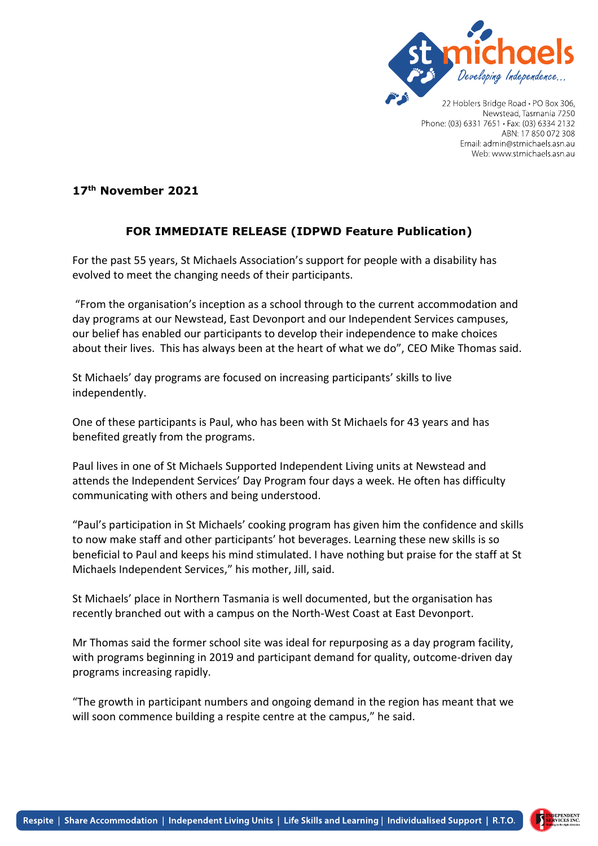

Newstead, Tasmania 7250 Phone: (03) 6331 7651 · Fax: (03) 6334 2132 ABN: 17 850 072 308 Email: admin@stmichaels.asn.au Web: www.stmichaels.asn.au

## **17th November 2021**

## **FOR IMMEDIATE RELEASE (IDPWD Feature Publication)**

For the past 55 years, St Michaels Association's support for people with a disability has evolved to meet the changing needs of their participants.

"From the organisation's inception as a school through to the current accommodation and day programs at our Newstead, East Devonport and our Independent Services campuses, our belief has enabled our participants to develop their independence to make choices about their lives. This has always been at the heart of what we do", CEO Mike Thomas said.

St Michaels' day programs are focused on increasing participants' skills to live independently.

One of these participants is Paul, who has been with St Michaels for 43 years and has benefited greatly from the programs.

Paul lives in one of St Michaels Supported Independent Living units at Newstead and attends the Independent Services' Day Program four days a week. He often has difficulty communicating with others and being understood.

"Paul's participation in St Michaels' cooking program has given him the confidence and skills to now make staff and other participants' hot beverages. Learning these new skills is so beneficial to Paul and keeps his mind stimulated. I have nothing but praise for the staff at St Michaels Independent Services," his mother, Jill, said.

St Michaels' place in Northern Tasmania is well documented, but the organisation has recently branched out with a campus on the North-West Coast at East Devonport.

Mr Thomas said the former school site was ideal for repurposing as a day program facility, with programs beginning in 2019 and participant demand for quality, outcome-driven day programs increasing rapidly.

"The growth in participant numbers and ongoing demand in the region has meant that we will soon commence building a respite centre at the campus," he said.